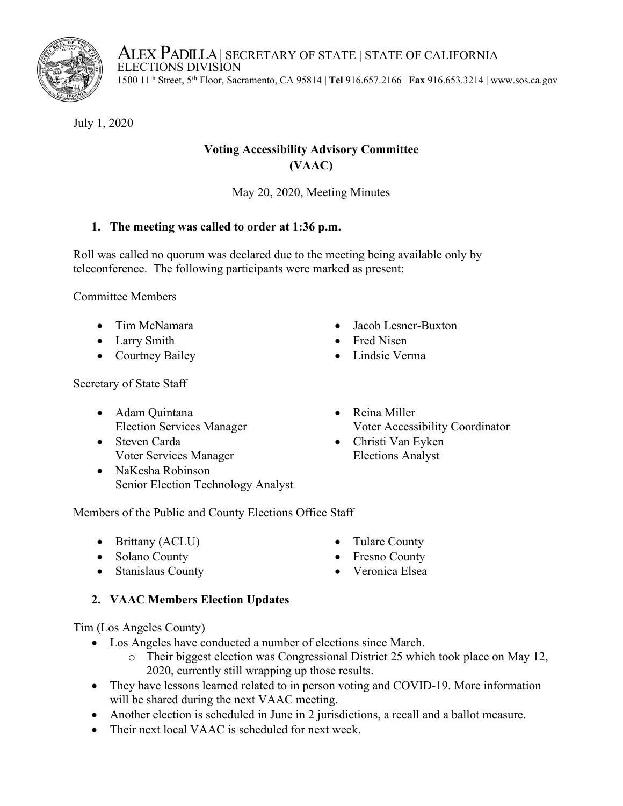ALEX PADILLA | SECRETARY OF STATE | STATE OF CALIFORNIA<br>ELECTIONS DIVISION 1500 11th Street, 5th Floor, Sacramento, CA 95814 | **Tel** 916.657.2166 | **Fax** 916.653.3214 | www.sos.ca.gov

July 1, 2020

# **Voting Accessibility Advisory Committee (VAAC)**

May 20, 2020, Meeting Minutes

# **1. The meeting was called to order at 1:36 p.m.**

Roll was called no quorum was declared due to the meeting being available only by teleconference. The following participants were marked as present:

Committee Members

- Tim McNamara
- Larry Smith
- Courtney Bailey
- Jacob Lesner-Buxton
- Fred Nisen
- Lindsie Verma

Secretary of State Staff

- Adam Quintana Election Services Manager
- Steven Carda Voter Services Manager
- NaKesha Robinson Senior Election Technology Analyst
- Reina Miller Voter Accessibility Coordinator
- Christi Van Eyken Elections Analyst

Tulare County • Fresno County • Veronica Elsea

Members of the Public and County Elections Office Staff

- Brittany (ACLU)
- Solano County
- Stanislaus County

# **2. VAAC Members Election Updates**

Tim (Los Angeles County)

- Los Angeles have conducted a number of elections since March.
	- o Their biggest election was Congressional District 25 which took place on May 12, 2020, currently still wrapping up those results.
- They have lessons learned related to in person voting and COVID-19. More information will be shared during the next VAAC meeting.
- Another election is scheduled in June in 2 jurisdictions, a recall and a ballot measure.
- Their next local VAAC is scheduled for next week.

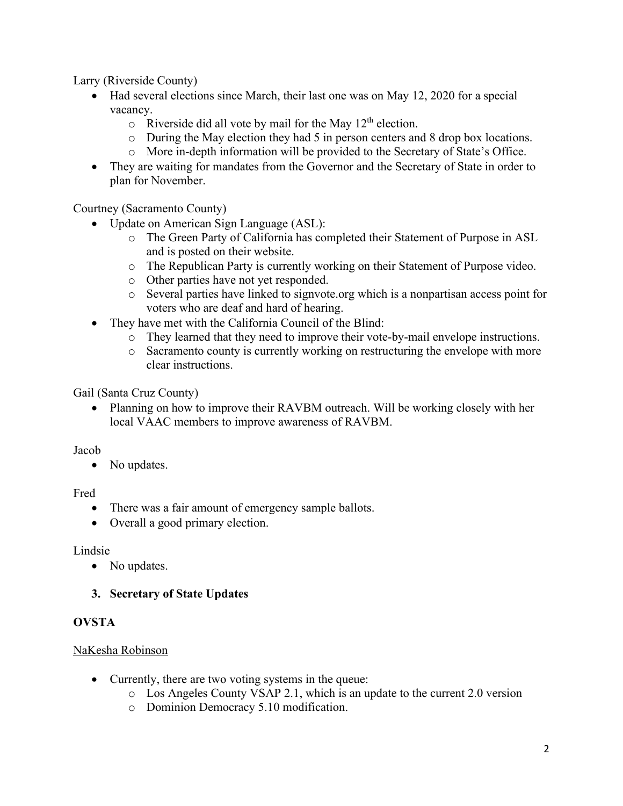Larry (Riverside County)

- Had several elections since March, their last one was on May 12, 2020 for a special vacancy.
	- $\circ$  Riverside did all vote by mail for the May 12<sup>th</sup> election.
	- o During the May election they had 5 in person centers and 8 drop box locations.
	- o More in-depth information will be provided to the Secretary of State's Office.
- They are waiting for mandates from the Governor and the Secretary of State in order to plan for November.

Courtney (Sacramento County)

- Update on American Sign Language (ASL):
	- o The Green Party of California has completed their Statement of Purpose in ASL and is posted on their website.
	- o The Republican Party is currently working on their Statement of Purpose video.
	- o Other parties have not yet responded.
	- o Several parties have linked to signvote.org which is a nonpartisan access point for voters who are deaf and hard of hearing.
- They have met with the California Council of the Blind:
	- o They learned that they need to improve their vote-by-mail envelope instructions.
	- o Sacramento county is currently working on restructuring the envelope with more clear instructions.

Gail (Santa Cruz County)

• Planning on how to improve their RAVBM outreach. Will be working closely with her local VAAC members to improve awareness of RAVBM.

Jacob

• No updates.

### Fred

- There was a fair amount of emergency sample ballots.
- Overall a good primary election.

# Lindsie

• No updates.

# **3. Secretary of State Updates**

# **OVSTA**

# NaKesha Robinson

- Currently, there are two voting systems in the queue:
	- o Los Angeles County VSAP 2.1, which is an update to the current 2.0 version
	- o Dominion Democracy 5.10 modification.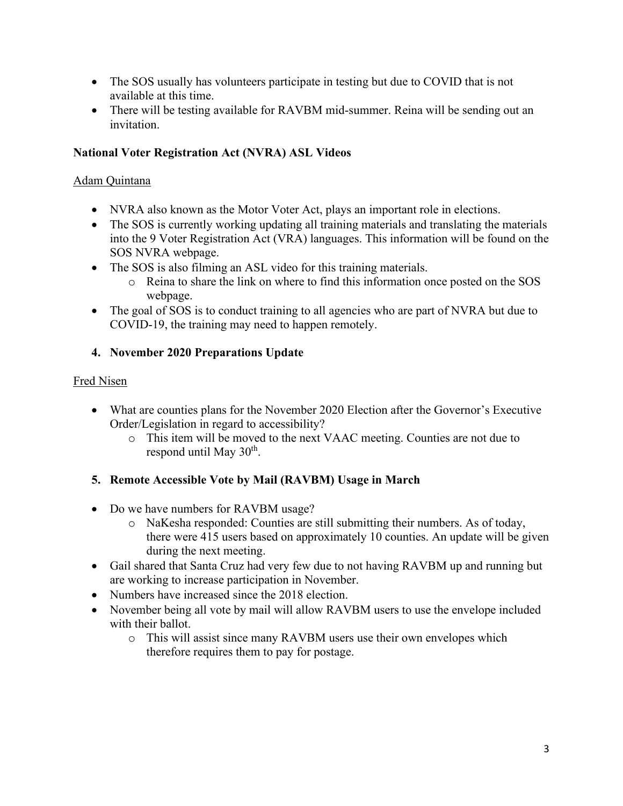- The SOS usually has volunteers participate in testing but due to COVID that is not available at this time.
- There will be testing available for RAVBM mid-summer. Reina will be sending out an invitation.

# **National Voter Registration Act (NVRA) ASL Videos**

### Adam Quintana

- NVRA also known as the Motor Voter Act, plays an important role in elections.
- The SOS is currently working updating all training materials and translating the materials into the 9 Voter Registration Act (VRA) languages. This information will be found on the SOS NVRA webpage.
- The SOS is also filming an ASL video for this training materials.
	- o Reina to share the link on where to find this information once posted on the SOS webpage.
- The goal of SOS is to conduct training to all agencies who are part of NVRA but due to COVID-19, the training may need to happen remotely.

# **4. November 2020 Preparations Update**

# Fred Nisen

- What are counties plans for the November 2020 Election after the Governor's Executive Order/Legislation in regard to accessibility?
	- o This item will be moved to the next VAAC meeting. Counties are not due to respond until May  $30<sup>th</sup>$ .

# **5. Remote Accessible Vote by Mail (RAVBM) Usage in March**

- Do we have numbers for RAVBM usage?
	- o NaKesha responded: Counties are still submitting their numbers. As of today, there were 415 users based on approximately 10 counties. An update will be given during the next meeting.
- Gail shared that Santa Cruz had very few due to not having RAVBM up and running but are working to increase participation in November.
- Numbers have increased since the 2018 election.
- November being all vote by mail will allow RAVBM users to use the envelope included with their ballot.
	- o This will assist since many RAVBM users use their own envelopes which therefore requires them to pay for postage.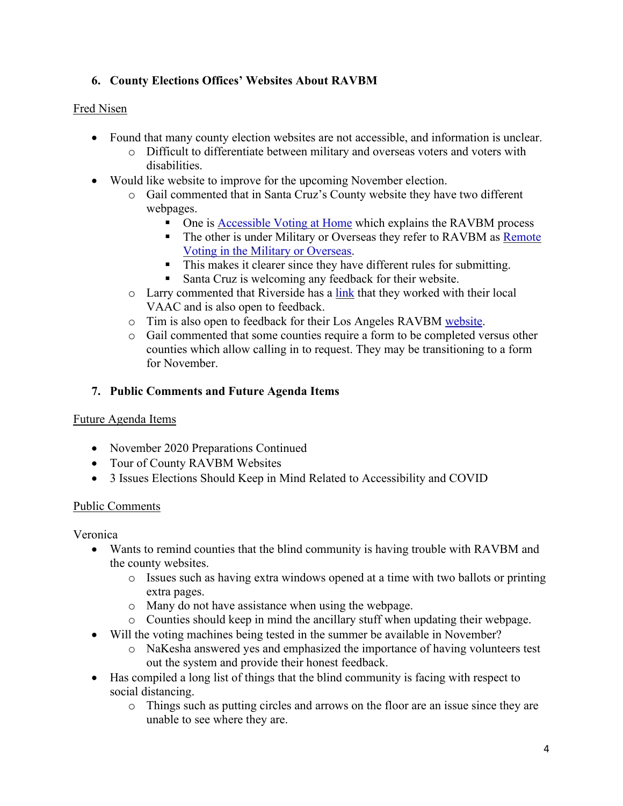# **6. County Elections Offices' Websites About RAVBM**

### Fred Nisen

- Found that many county election websites are not accessible, and information is unclear.
	- o Difficult to differentiate between military and overseas voters and voters with disabilities.
- Would like website to improve for the upcoming November election.
	- o Gail commented that in Santa Cruz's County website they have two different webpages.
		- One is [Accessible Voting at Home](https://www.votescount.us/MainMenu/VotingOptions/AccessibleVotingatHome.aspx) which explains the RAVBM process
		- The other is under Military or Overseas they refer to RAVBM as [Remote](https://www.votescount.us/MainMenu/VotingOptions/AccessibleVotingUOCAVA.aspx)  [Voting in the Military or Overseas.](https://www.votescount.us/MainMenu/VotingOptions/AccessibleVotingUOCAVA.aspx)
		- This makes it clearer since they have different rules for submitting.
		- Santa Cruz is welcoming any feedback for their website.
	- o Larry commented that Riverside has a [link](https://www.voteinfo.net/) that they worked with their local VAAC and is also open to feedback.
	- o Tim is also open to feedback for their Los Angeles RAVBM [website.](https://lavote.net/home/voting-elections/voting-options/vote-by-mail/ravbm)
	- o Gail commented that some counties require a form to be completed versus other counties which allow calling in to request. They may be transitioning to a form for November.

# **7. Public Comments and Future Agenda Items**

### Future Agenda Items

- November 2020 Preparations Continued
- Tour of County RAVBM Websites
- 3 Issues Elections Should Keep in Mind Related to Accessibility and COVID

### Public Comments

Veronica

- Wants to remind counties that the blind community is having trouble with RAVBM and the county websites.
	- o Issues such as having extra windows opened at a time with two ballots or printing extra pages.
	- o Many do not have assistance when using the webpage.
	- o Counties should keep in mind the ancillary stuff when updating their webpage.
- Will the voting machines being tested in the summer be available in November?
	- o NaKesha answered yes and emphasized the importance of having volunteers test out the system and provide their honest feedback.
- Has compiled a long list of things that the blind community is facing with respect to social distancing.
	- o Things such as putting circles and arrows on the floor are an issue since they are unable to see where they are.